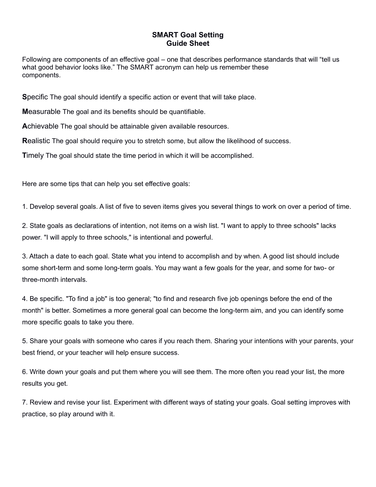## **SMART Goal Setting Guide Sheet**

Following are components of an effective goal – one that describes performance standards that will "tell us what good behavior looks like." The SMART acronym can help us remember these components.

**S**pecific The goal should identify a specific action or event that will take place.

**M**easurable The goal and its benefits should be quantifiable.

**A**chievable The goal should be attainable given available resources.

**R**ealistic The goal should require you to stretch some, but allow the likelihood of success.

**T**imely The goal should state the time period in which it will be accomplished.

Here are some tips that can help you set effective goals:

1. Develop several goals. A list of five to seven items gives you several things to work on over a period of time.

2. State goals as declarations of intention, not items on a wish list. "I want to apply to three schools" lacks power. "I will apply to three schools," is intentional and powerful.

3. Attach a date to each goal. State what you intend to accomplish and by when. A good list should include some short-term and some long-term goals. You may want a few goals for the year, and some for two- or three-month intervals.

4. Be specific. "To find a job" is too general; "to find and research five job openings before the end of the month" is better. Sometimes a more general goal can become the long-term aim, and you can identify some more specific goals to take you there.

5. Share your goals with someone who cares if you reach them. Sharing your intentions with your parents, your best friend, or your teacher will help ensure success.

6. Write down your goals and put them where you will see them. The more often you read your list, the more results you get.

7. Review and revise your list. Experiment with different ways of stating your goals. Goal setting improves with practice, so play around with it.